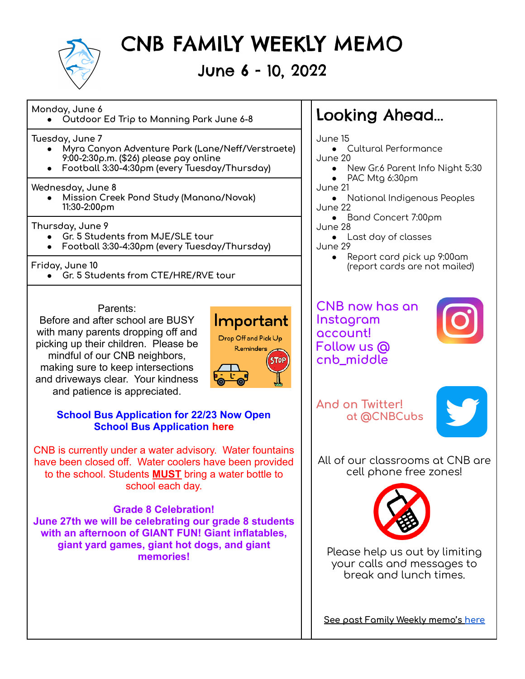

# CNB FAMILY WEEKLY MEMO

### June 6 - 10, 2022

#### **Monday, June 6**

**● Outdoor Ed Trip to Manning Park June 6-8** Looking Ahead...

**Tuesday, June 7**

- **● Myra Canyon Adventure Park (Lane/Neff/Verstraete) 9:00-2:30p.m. (\$26) please pay online**
- **● Football 3:30-4:30pm (every Tuesday/Thursday)**

#### **Wednesday, June 8**

**● Mission Creek Pond Study (Manana/Novak) 11:30-2:00pm**

**Thursday, June 9**

- **● Gr. 5 Students from MJE/SLE tour**
- **● Football 3:30-4:30pm (every Tuesday/Thursday)**

**Friday, June 10**

**● Gr. 5 Students from CTE/HRE/RVE tour**

#### Parents:

Before and after school are BUSY with many parents dropping off and picking up their children. Please be mindful of our CNB neighbors, making sure to keep intersections and driveways clear. Your kindness and patience is appreciated.



#### **School Bus Application for 22/23 Now Open [School Bus Application](https://docs.google.com/document/d/1JlQPWLgK8KOJjQh9gaH_-Z20Ibtpaei8CTgyw2DTF_o/edit) [here](https://docs.google.com/document/u/0/d/1JlQPWLgK8KOJjQh9gaH_-Z20Ibtpaei8CTgyw2DTF_o/edit)**

CNB is currently under a water advisory. Water fountains have been closed off. Water coolers have been provided to the school. Students **MUST** bring a water bottle to school each day.

### **Grade 8 Celebration!**

**June 27th we will be celebrating our grade 8 students with an afternoon of GIANT FUN! Giant inflatables, giant yard games, giant hot dogs, and giant memories!**

June 15

- Cultural Performance June 20
	- New Gr.6 Parent Info Night 5:30
	- PAC Mtg  $6:30 \rho m$
- June 21
- National Indigenous Peoples June 22
- Band Concert 7:00pm June 28
- Last day of classes June 29
	- Report card pick up 9:00am (report cards are not mailed)

**CNB now has an Instagram account! Follow us @ cnb\_middle**



**And on Twitter! at @CNBCubs**



All of our classrooms at CNB are cell phone free zones!



Please help us out by limiting your calls and messages to break and lunch times.

**See past Family Weekly memo's [here](http://www.cnb.sd23.bc.ca/Parents/familyweeklymemo/Pages/default.aspx#/=)**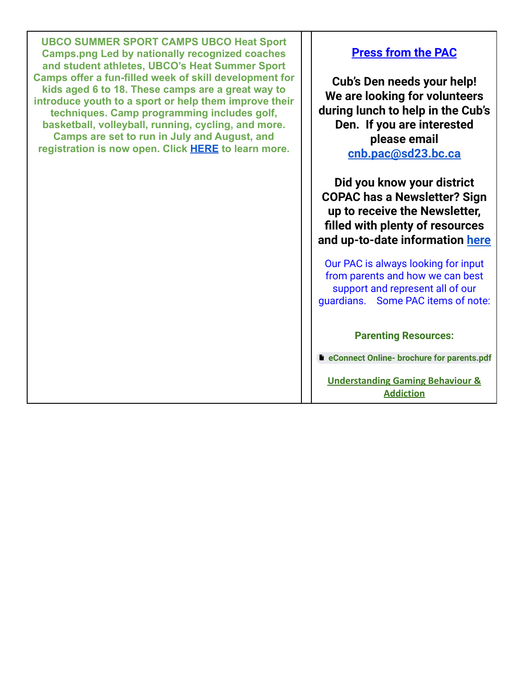**UBCO SUMMER SPORT CAMPS UBCO Heat Sport Camps.png Led by nationally recognized coaches and student athletes, UBCO's Heat Summer Sport Camps offer a fun-filled week of skill development for kids aged 6 to 18. These camps are a great way to introduce youth to a sport or help them improve their techniques. Camp programming includes golf, basketball, volleyball, running, cycling, and more. Camps are set to run in July and August, and registration is now open. Click [HERE](https://goheat.prestosports.com/Community/Youth/heatsportcamps) to learn more.**

#### **Press from the PAC**

**Cub's Den needs your help! We are looking for volunteers during lunch to help in the Cub's Den. If you are interested please email [cnb.pac@sd23.bc.ca](mailto:cnb.pac@sd23.bc.ca)**

**Did you know your district COPAC has a Newsletter? Sign up to receive the Newsletter, filled with plenty of resources and up-to-date information [here](https://sd23.us5.list-manage.com/subscribe?u=26d02d502305515ee1a55e6b1&id=afbb3029c1)**

Our PAC is always looking for input from parents and how we can best support and represent all of our guardians. Some PAC items of note:

#### **Parenting Resources:**

**eConnect Online- brochure for [parents.pdf](https://drive.google.com/file/d/1NIXv4d2S8CD6WCDkyHffRADjAi4UnVIx/view?usp=sharing)**

**[Understanding Gaming Behaviour &](https://can01.safelinks.protection.outlook.com/?url=https%3A%2F%2Fwww.gameover101.com%2Fintro&data=04%7C01%7CLynn.Bateman%40sd23.bc.ca%7Cbc7e5b0c69dc4d9a30c008d9fe2f897d%7Ca88c6e7e8efc4bc7956fe8170457f178%7C0%7C0%7C637820302379598038%7CUnknown%7CTWFpbGZsb3d8eyJWIjoiMC4wLjAwMDAiLCJQIjoiV2luMzIiLCJBTiI6Ik1haWwiLCJXVCI6Mn0%3D%7C3000&sdata=KDiuKa%2BPdZor%2BFWfzIFfN1vBKCeYa3M%2BI8f5ER%2BuIRw%3D&reserved=0) [Addiction](https://can01.safelinks.protection.outlook.com/?url=https%3A%2F%2Fwww.gameover101.com%2Fintro&data=04%7C01%7CLynn.Bateman%40sd23.bc.ca%7Cbc7e5b0c69dc4d9a30c008d9fe2f897d%7Ca88c6e7e8efc4bc7956fe8170457f178%7C0%7C0%7C637820302379598038%7CUnknown%7CTWFpbGZsb3d8eyJWIjoiMC4wLjAwMDAiLCJQIjoiV2luMzIiLCJBTiI6Ik1haWwiLCJXVCI6Mn0%3D%7C3000&sdata=KDiuKa%2BPdZor%2BFWfzIFfN1vBKCeYa3M%2BI8f5ER%2BuIRw%3D&reserved=0)**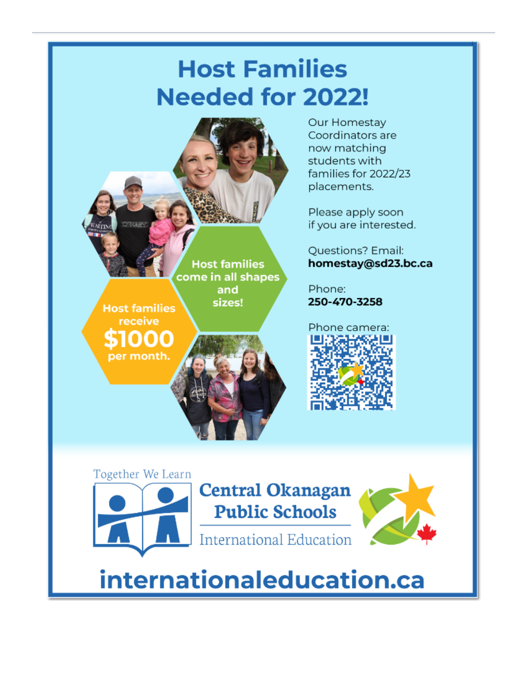# **Host Families Needed for 2022!**



Our Homestay Coordinators are now matching students with families for 2022/23 placements.

Please apply soon if you are interested.

**Questions? Email:** homestay@sd23.bc.ca

Phone: 250-470-3258





# internationaleducation.ca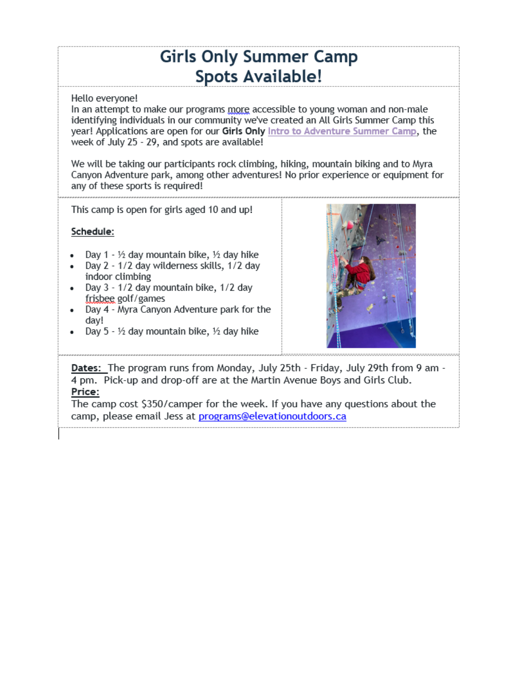## **Girls Only Summer Camp Spots Available!**

#### Hello everyone!

In an attempt to make our programs more accessible to young woman and non-male identifying individuals in our community we've created an All Girls Summer Camp this year! Applications are open for our Girls Only Intro to Adventure Summer Camp, the week of July 25 - 29, and spots are available!

We will be taking our participants rock climbing, hiking, mountain biking and to Myra Canyon Adventure park, among other adventures! No prior experience or equipment for any of these sports is required!

This camp is open for girls aged 10 and up!

#### Schedule:

- Day 1 1/2 day mountain bike, 1/2 day hike
- Day 2 1/2 day wilderness skills, 1/2 day indoor climbing
- Day 3 1/2 day mountain bike, 1/2 day frisbee golf/games
- Day 4 Myra Canyon Adventure park for the day!
- Day 5  $\frac{1}{2}$  day mountain bike,  $\frac{1}{2}$  day hike



Dates: The program runs from Monday, July 25th - Friday, July 29th from 9 am -4 pm. Pick-up and drop-off are at the Martin Avenue Boys and Girls Club. Price:

The camp cost \$350/camper for the week. If you have any questions about the camp, please email Jess at programs@elevationoutdoors.ca